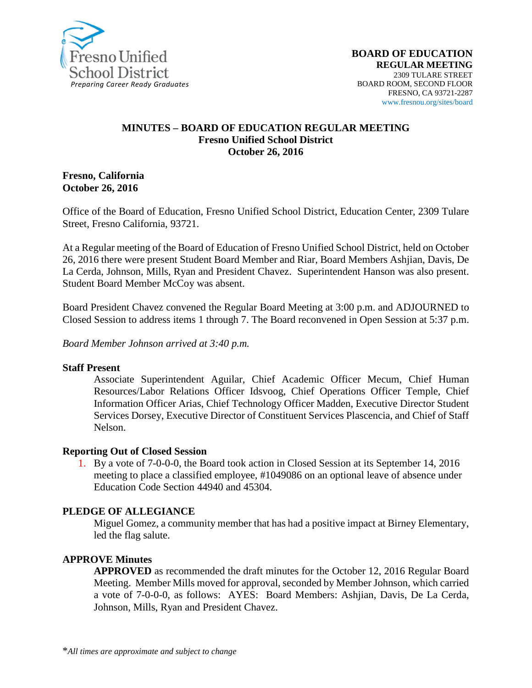

### **MINUTES – BOARD OF EDUCATION REGULAR MEETING Fresno Unified School District October 26, 2016**

**Fresno, California October 26, 2016**

Office of the Board of Education, Fresno Unified School District, Education Center, 2309 Tulare Street, Fresno California, 93721.

At a Regular meeting of the Board of Education of Fresno Unified School District, held on October 26, 2016 there were present Student Board Member and Riar, Board Members Ashjian, Davis, De La Cerda, Johnson, Mills, Ryan and President Chavez. Superintendent Hanson was also present. Student Board Member McCoy was absent.

Board President Chavez convened the Regular Board Meeting at 3:00 p.m. and ADJOURNED to Closed Session to address items 1 through 7. The Board reconvened in Open Session at 5:37 p.m.

*Board Member Johnson arrived at 3:40 p.m.*

#### **Staff Present**

Associate Superintendent Aguilar, Chief Academic Officer Mecum, Chief Human Resources/Labor Relations Officer Idsvoog, Chief Operations Officer Temple, Chief Information Officer Arias, Chief Technology Officer Madden, Executive Director Student Services Dorsey, Executive Director of Constituent Services Plascencia, and Chief of Staff Nelson.

#### **Reporting Out of Closed Session**

1. By a vote of 7-0-0-0, the Board took action in Closed Session at its September 14, 2016 meeting to place a classified employee, #1049086 on an optional leave of absence under Education Code Section 44940 and 45304.

#### **PLEDGE OF ALLEGIANCE**

Miguel Gomez, a community member that has had a positive impact at Birney Elementary, led the flag salute.

#### **APPROVE Minutes**

**APPROVED** as recommended the draft minutes for the October 12, 2016 Regular Board Meeting. Member Mills moved for approval, seconded by Member Johnson, which carried a vote of 7-0-0-0, as follows: AYES: Board Members: Ashjian, Davis, De La Cerda, Johnson, Mills, Ryan and President Chavez.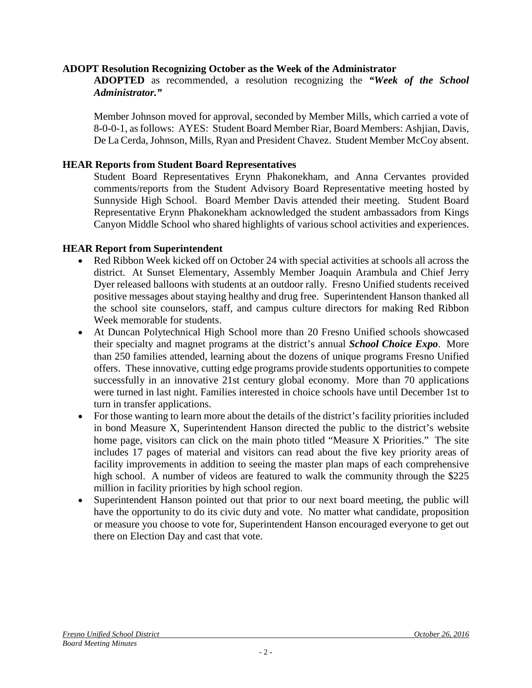### **ADOPT Resolution Recognizing October as the Week of the Administrator**

**ADOPTED** as recommended, a resolution recognizing the *"Week of the School Administrator."*

Member Johnson moved for approval, seconded by Member Mills, which carried a vote of 8-0-0-1, as follows: AYES: Student Board Member Riar, Board Members: Ashjian, Davis, De La Cerda, Johnson, Mills, Ryan and President Chavez. Student Member McCoy absent.

### **HEAR Reports from Student Board Representatives**

Student Board Representatives Erynn Phakonekham, and Anna Cervantes provided comments/reports from the Student Advisory Board Representative meeting hosted by Sunnyside High School. Board Member Davis attended their meeting. Student Board Representative Erynn Phakonekham acknowledged the student ambassadors from Kings Canyon Middle School who shared highlights of various school activities and experiences.

### **HEAR Report from Superintendent**

- Red Ribbon Week kicked off on October 24 with special activities at schools all across the district. At Sunset Elementary, Assembly Member Joaquin Arambula and Chief Jerry Dyer released balloons with students at an outdoor rally. Fresno Unified students received positive messages about staying healthy and drug free. Superintendent Hanson thanked all the school site counselors, staff, and campus culture directors for making Red Ribbon Week memorable for students.
- At Duncan Polytechnical High School more than 20 Fresno Unified schools showcased their specialty and magnet programs at the district's annual *School Choice Expo*. More than 250 families attended, learning about the dozens of unique programs Fresno Unified offers. These innovative, cutting edge programs provide students opportunities to compete successfully in an innovative 21st century global economy. More than 70 applications were turned in last night. Families interested in choice schools have until December 1st to turn in transfer applications.
- For those wanting to learn more about the details of the district's facility priorities included in bond Measure X, Superintendent Hanson directed the public to the district's website home page, visitors can click on the main photo titled "Measure X Priorities." The site includes 17 pages of material and visitors can read about the five key priority areas of facility improvements in addition to seeing the master plan maps of each comprehensive high school. A number of videos are featured to walk the community through the \$225 million in facility priorities by high school region.
- Superintendent Hanson pointed out that prior to our next board meeting, the public will have the opportunity to do its civic duty and vote. No matter what candidate, proposition or measure you choose to vote for, Superintendent Hanson encouraged everyone to get out there on Election Day and cast that vote.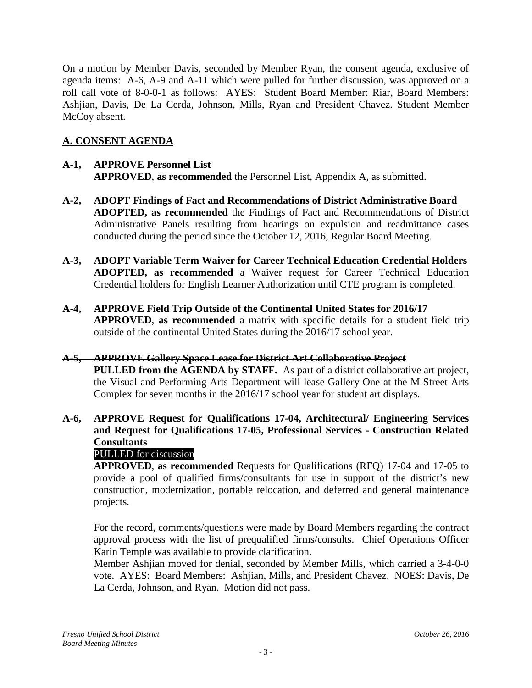On a motion by Member Davis, seconded by Member Ryan, the consent agenda, exclusive of agenda items: A-6, A-9 and A-11 which were pulled for further discussion, was approved on a roll call vote of 8-0-0-1 as follows: AYES: Student Board Member: Riar, Board Members: Ashjian, Davis, De La Cerda, Johnson, Mills, Ryan and President Chavez. Student Member McCoy absent.

# **A. CONSENT AGENDA**

# **A-1, APPROVE Personnel List APPROVED**, **as recommended** the Personnel List, Appendix A, as submitted.

- **A-2, ADOPT Findings of Fact and Recommendations of District Administrative Board ADOPTED, as recommended** the Findings of Fact and Recommendations of District Administrative Panels resulting from hearings on expulsion and readmittance cases conducted during the period since the October 12, 2016, Regular Board Meeting.
- **A-3, ADOPT Variable Term Waiver for Career Technical Education Credential Holders ADOPTED, as recommended** a Waiver request for Career Technical Education Credential holders for English Learner Authorization until CTE program is completed.
- **A-4, APPROVE Field Trip Outside of the Continental United States for 2016/17 APPROVED**, **as recommended** a matrix with specific details for a student field trip outside of the continental United States during the 2016/17 school year.

# **A-5, APPROVE Gallery Space Lease for District Art Collaborative Project**

**PULLED from the AGENDA by STAFF.** As part of a district collaborative art project, the Visual and Performing Arts Department will lease Gallery One at the M Street Arts Complex for seven months in the 2016/17 school year for student art displays.

**A-6, APPROVE Request for Qualifications 17-04, Architectural/ Engineering Services and Request for Qualifications 17-05, Professional Services - Construction Related Consultants**

# PULLED for discussion

**APPROVED**, **as recommended** Requests for Qualifications (RFQ) 17-04 and 17-05 to provide a pool of qualified firms/consultants for use in support of the district's new construction, modernization, portable relocation, and deferred and general maintenance projects.

For the record, comments/questions were made by Board Members regarding the contract approval process with the list of prequalified firms/consults. Chief Operations Officer Karin Temple was available to provide clarification.

Member Ashjian moved for denial, seconded by Member Mills, which carried a 3-4-0-0 vote. AYES: Board Members: Ashjian, Mills, and President Chavez. NOES: Davis, De La Cerda, Johnson, and Ryan. Motion did not pass.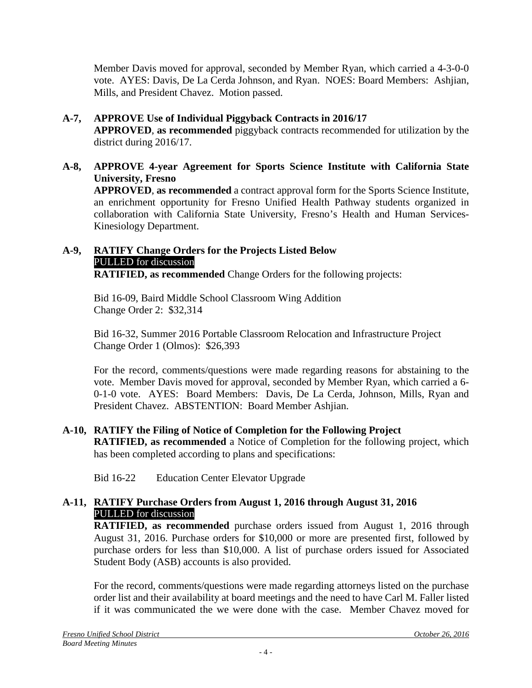Member Davis moved for approval, seconded by Member Ryan, which carried a 4-3-0-0 vote. AYES: Davis, De La Cerda Johnson, and Ryan. NOES: Board Members: Ashjian, Mills, and President Chavez. Motion passed.

- **A-7, APPROVE Use of Individual Piggyback Contracts in 2016/17 APPROVED**, **as recommended** piggyback contracts recommended for utilization by the district during 2016/17.
- **A-8, APPROVE 4-year Agreement for Sports Science Institute with California State University, Fresno APPROVED**, **as recommended** a contract approval form for the Sports Science Institute, an enrichment opportunity for Fresno Unified Health Pathway students organized in collaboration with California State University, Fresno's Health and Human Services-Kinesiology Department.

#### **A-9, RATIFY Change Orders for the Projects Listed Below** PULLED for discussion **RATIFIED, as recommended** Change Orders for the following projects:

Bid 16-09, Baird Middle School Classroom Wing Addition Change Order 2: \$32,314

Bid 16-32, Summer 2016 Portable Classroom Relocation and Infrastructure Project Change Order 1 (Olmos): \$26,393

For the record, comments/questions were made regarding reasons for abstaining to the vote. Member Davis moved for approval, seconded by Member Ryan, which carried a 6- 0-1-0 vote. AYES: Board Members: Davis, De La Cerda, Johnson, Mills, Ryan and President Chavez. ABSTENTION: Board Member Ashjian.

# **A-10, RATIFY the Filing of Notice of Completion for the Following Project**

**RATIFIED, as recommended** a Notice of Completion for the following project, which has been completed according to plans and specifications:

Bid 16-22 Education Center Elevator Upgrade

# **A-11, RATIFY Purchase Orders from August 1, 2016 through August 31, 2016** PULLED for discussion

**RATIFIED, as recommended** purchase orders issued from August 1, 2016 through August 31, 2016. Purchase orders for \$10,000 or more are presented first, followed by purchase orders for less than \$10,000. A list of purchase orders issued for Associated Student Body (ASB) accounts is also provided.

For the record, comments/questions were made regarding attorneys listed on the purchase order list and their availability at board meetings and the need to have Carl M. Faller listed if it was communicated the we were done with the case. Member Chavez moved for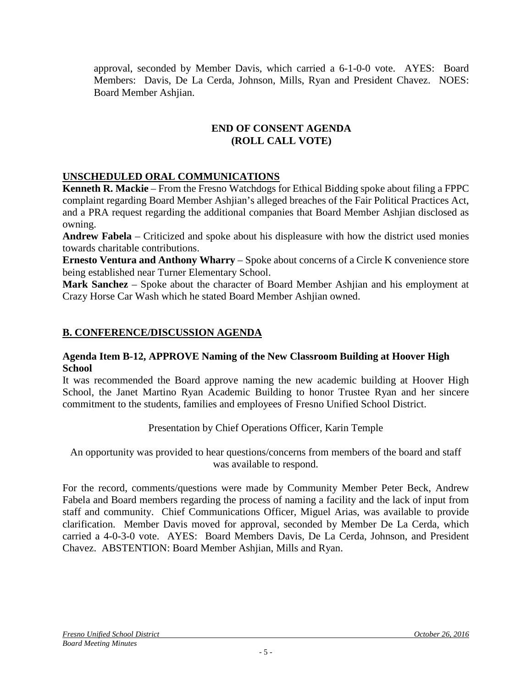approval, seconded by Member Davis, which carried a 6-1-0-0 vote. AYES: Board Members: Davis, De La Cerda, Johnson, Mills, Ryan and President Chavez. NOES: Board Member Ashjian.

### **END OF CONSENT AGENDA (ROLL CALL VOTE)**

# **UNSCHEDULED ORAL COMMUNICATIONS**

**Kenneth R. Mackie** – From the Fresno Watchdogs for Ethical Bidding spoke about filing a FPPC complaint regarding Board Member Ashjian's alleged breaches of the Fair Political Practices Act, and a PRA request regarding the additional companies that Board Member Ashjian disclosed as owning.

**Andrew Fabela** – Criticized and spoke about his displeasure with how the district used monies towards charitable contributions.

**Ernesto Ventura and Anthony Wharry** – Spoke about concerns of a Circle K convenience store being established near Turner Elementary School.

**Mark Sanchez** – Spoke about the character of Board Member Ashjian and his employment at Crazy Horse Car Wash which he stated Board Member Ashjian owned.

# **B. CONFERENCE/DISCUSSION AGENDA**

### **Agenda Item B-12, APPROVE Naming of the New Classroom Building at Hoover High School**

It was recommended the Board approve naming the new academic building at Hoover High School, the Janet Martino Ryan Academic Building to honor Trustee Ryan and her sincere commitment to the students, families and employees of Fresno Unified School District.

Presentation by Chief Operations Officer, Karin Temple

An opportunity was provided to hear questions/concerns from members of the board and staff was available to respond.

For the record, comments/questions were made by Community Member Peter Beck, Andrew Fabela and Board members regarding the process of naming a facility and the lack of input from staff and community. Chief Communications Officer, Miguel Arias, was available to provide clarification. Member Davis moved for approval, seconded by Member De La Cerda, which carried a 4-0-3-0 vote. AYES: Board Members Davis, De La Cerda, Johnson, and President Chavez. ABSTENTION: Board Member Ashjian, Mills and Ryan.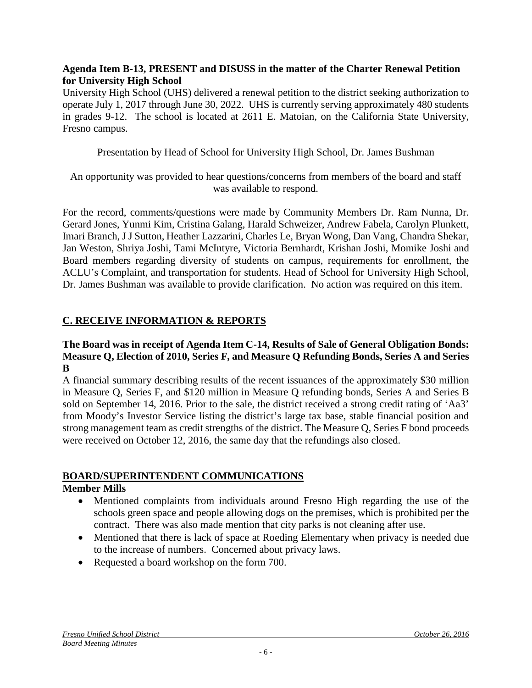### **Agenda Item B-13, PRESENT and DISUSS in the matter of the Charter Renewal Petition for University High School**

University High School (UHS) delivered a renewal petition to the district seeking authorization to operate July 1, 2017 through June 30, 2022. UHS is currently serving approximately 480 students in grades 9-12. The school is located at 2611 E. Matoian, on the California State University, Fresno campus.

Presentation by Head of School for University High School, Dr. James Bushman

An opportunity was provided to hear questions/concerns from members of the board and staff was available to respond.

For the record, comments/questions were made by Community Members Dr. Ram Nunna, Dr. Gerard Jones, Yunmi Kim, Cristina Galang, Harald Schweizer, Andrew Fabela, Carolyn Plunkett, Imari Branch, J J Sutton, Heather Lazzarini, Charles Le, Bryan Wong, Dan Vang, Chandra Shekar, Jan Weston, Shriya Joshi, Tami McIntyre, Victoria Bernhardt, Krishan Joshi, Momike Joshi and Board members regarding diversity of students on campus, requirements for enrollment, the ACLU's Complaint, and transportation for students. Head of School for University High School, Dr. James Bushman was available to provide clarification. No action was required on this item.

# **C. RECEIVE INFORMATION & REPORTS**

### **The Board was in receipt of Agenda Item C-14, Results of Sale of General Obligation Bonds: Measure Q, Election of 2010, Series F, and Measure Q Refunding Bonds, Series A and Series B**

A financial summary describing results of the recent issuances of the approximately \$30 million in Measure Q, Series F, and \$120 million in Measure Q refunding bonds, Series A and Series B sold on September 14, 2016. Prior to the sale, the district received a strong credit rating of 'Aa3' from Moody's Investor Service listing the district's large tax base, stable financial position and strong management team as credit strengths of the district. The Measure Q, Series F bond proceeds were received on October 12, 2016, the same day that the refundings also closed.

# **BOARD/SUPERINTENDENT COMMUNICATIONS**

# **Member Mills**

- Mentioned complaints from individuals around Fresno High regarding the use of the schools green space and people allowing dogs on the premises, which is prohibited per the contract. There was also made mention that city parks is not cleaning after use.
- Mentioned that there is lack of space at Roeding Elementary when privacy is needed due to the increase of numbers. Concerned about privacy laws.
- Requested a board workshop on the form 700.